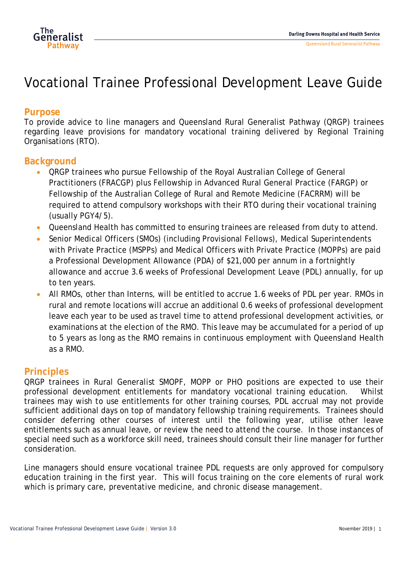

# Vocational Trainee Professional Development Leave Guide

## **Purpose**

To provide advice to line managers and Queensland Rural Generalist Pathway (QRGP) trainees regarding leave provisions for mandatory vocational training delivered by Regional Training Organisations (RTO).

### **Background**

- QRGP trainees who pursue Fellowship of the Royal Australian College of General Practitioners (FRACGP) plus Fellowship in Advanced Rural General Practice (FARGP) or Fellowship of the Australian College of Rural and Remote Medicine (FACRRM) will be required to attend compulsory workshops with their RTO during their vocational training (usually PGY4/5).
- Queensland Health has committed to ensuring trainees are released from duty to attend.
- Senior Medical Officers (SMOs) (including Provisional Fellows), Medical Superintendents with Private Practice (MSPPs) and Medical Officers with Private Practice (MOPPs) are paid a Professional Development Allowance (PDA) of \$21,000 per annum in a fortnightly allowance and accrue 3.6 weeks of Professional Development Leave (PDL) annually, for up to ten years.
- All RMOs, other than Interns, will be entitled to accrue 1.6 weeks of PDL per year. RMOs in rural and remote locations will accrue an additional 0.6 weeks of professional development leave each year to be used as travel time to attend professional development activities, or examinations at the election of the RMO. This leave may be accumulated for a period of up to 5 years as long as the RMO remains in continuous employment with Queensland Health as a RMO.

#### **Principles**

QRGP trainees in Rural Generalist SMOPF, MOPP or PHO positions are expected to use their professional development entitlements for mandatory vocational training education. Whilst trainees may wish to use entitlements for other training courses, PDL accrual may not provide sufficient additional days on top of mandatory fellowship training requirements. Trainees should consider deferring other courses of interest until the following year, utilise other leave entitlements such as annual leave, or review the need to attend the course. In those instances of special need such as a workforce skill need, trainees should consult their line manager for further consideration.

Line managers should ensure vocational trainee PDL requests are only approved for compulsory education training in the first year. This will focus training on the core elements of rural work which is primary care, preventative medicine, and chronic disease management.